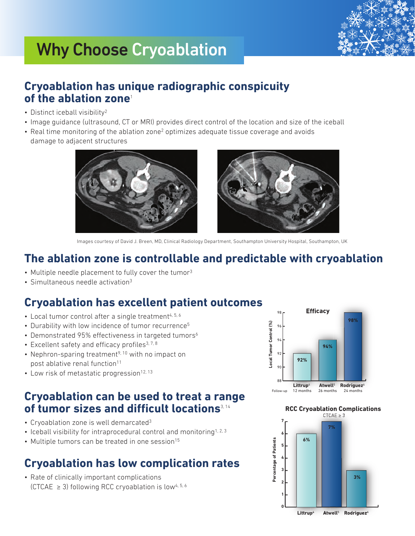

# **Why Choose Cryoablation?** Why Choose Cryoablation

### **Cryoablation has unique radiographic conspicuity of the ablation zone**<sup>1</sup>

- Distinct iceball visibility<sup>2</sup>
- • Image guidance (ultrasound, CT or MRI) provides direct control of the location and size of the iceball
- Real time monitoring of the ablation zone<sup>2</sup> optimizes adequate tissue coverage and avoids damage to adjacent structures





Images courtesy of David J. Breen, MD, Clinical Radiology Department, Southampton University Hospital, Southampton, UK

#### **The ablation zone is controllable and predictable with cryoablation**

- Multiple needle placement to fully cover the tumor<sup>3</sup>
- $\cdot$  Simultaneous needle activation<sup>3</sup>

# **Cryoablation has excellent patient outcomes**

- $\bullet$  Local tumor control after a single treatment<sup>4, 5, 6</sup>
- Durability with low incidence of tumor recurrence<sup>5</sup>
- Demonstrated 95% effectiveness in targeted tumors<sup>6</sup>
- $\bullet$  Excellent safety and efficacy profiles<sup>3, 7, 8</sup>
- Nephron-sparing treatment<sup>9, 10</sup> with no impact on post ablative renal function<sup>11</sup>
- Low risk of metastatic progression<sup>12, 13</sup>

### **Cryoablation can be used to treat a range of tumor sizes and difficult locations**3, <sup>14</sup>

- Cryoablation zone is well demarcated<sup>3</sup>
- Iceball visibility for intraprocedural control and monitoring<sup>1, 2, 3</sup>
- $\bullet$  Multiple tumors can be treated in one session<sup>15</sup>

## **Cryoablation has low complication rates**

• Rate of clinically important complications (CTCAE  $\geq$  3) following RCC cryoablation is low<sup>4, 5, 6</sup>



#### **RCC Cryoablation Complications**